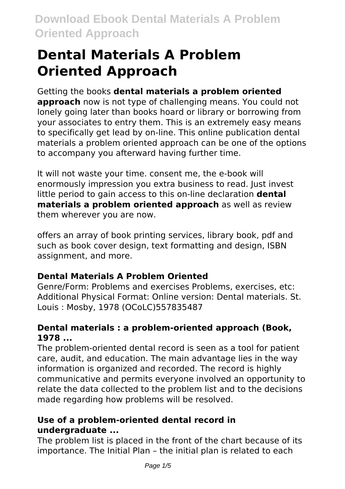# **Dental Materials A Problem Oriented Approach**

#### Getting the books **dental materials a problem oriented approach** now is not type of challenging means. You could not lonely going later than books hoard or library or borrowing from your associates to entry them. This is an extremely easy means to specifically get lead by on-line. This online publication dental materials a problem oriented approach can be one of the options to accompany you afterward having further time.

It will not waste your time. consent me, the e-book will enormously impression you extra business to read. Just invest little period to gain access to this on-line declaration **dental materials a problem oriented approach** as well as review them wherever you are now.

offers an array of book printing services, library book, pdf and such as book cover design, text formatting and design, ISBN assignment, and more.

## **Dental Materials A Problem Oriented**

Genre/Form: Problems and exercises Problems, exercises, etc: Additional Physical Format: Online version: Dental materials. St. Louis : Mosby, 1978 (OCoLC)557835487

### **Dental materials : a problem-oriented approach (Book, 1978 ...**

The problem-oriented dental record is seen as a tool for patient care, audit, and education. The main advantage lies in the way information is organized and recorded. The record is highly communicative and permits everyone involved an opportunity to relate the data collected to the problem list and to the decisions made regarding how problems will be resolved.

### **Use of a problem-oriented dental record in undergraduate ...**

The problem list is placed in the front of the chart because of its importance. The Initial Plan – the initial plan is related to each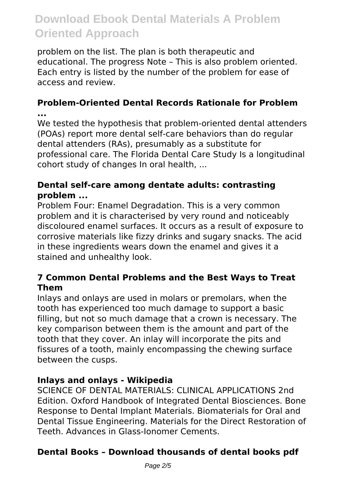problem on the list. The plan is both therapeutic and educational. The progress Note – This is also problem oriented. Each entry is listed by the number of the problem for ease of access and review.

# **Problem-Oriented Dental Records Rationale for Problem**

**...** We tested the hypothesis that problem-oriented dental attenders (POAs) report more dental self‐care behaviors than do regular dental attenders (RAs), presumably as a substitute for professional care. The Florida Dental Care Study Is a longitudinal cohort study of changes In oral health, ...

#### **Dental self‐care among dentate adults: contrasting problem ...**

Problem Four: Enamel Degradation. This is a very common problem and it is characterised by very round and noticeably discoloured enamel surfaces. It occurs as a result of exposure to corrosive materials like fizzy drinks and sugary snacks. The acid in these ingredients wears down the enamel and gives it a stained and unhealthy look.

#### **7 Common Dental Problems and the Best Ways to Treat Them**

Inlays and onlays are used in molars or premolars, when the tooth has experienced too much damage to support a basic filling, but not so much damage that a crown is necessary. The key comparison between them is the amount and part of the tooth that they cover. An inlay will incorporate the pits and fissures of a tooth, mainly encompassing the chewing surface between the cusps.

#### **Inlays and onlays - Wikipedia**

SCIENCE OF DENTAL MATERIALS: CLINICAL APPLICATIONS 2nd Edition. Oxford Handbook of Integrated Dental Biosciences. Bone Response to Dental Implant Materials. Biomaterials for Oral and Dental Tissue Engineering. Materials for the Direct Restoration of Teeth. Advances in Glass-Ionomer Cements.

### **Dental Books – Download thousands of dental books pdf**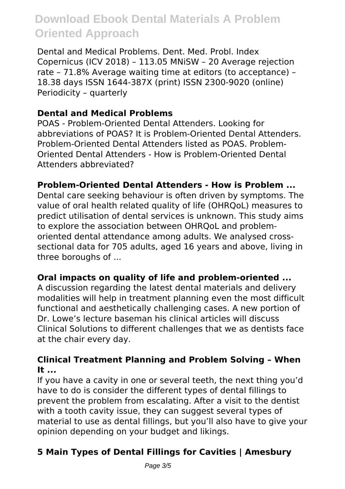Dental and Medical Problems. Dent. Med. Probl. Index Copernicus (ICV 2018) – 113.05 MNiSW – 20 Average rejection rate – 71.8% Average waiting time at editors (to acceptance) – 18.38 days ISSN 1644-387X (print) ISSN 2300-9020 (online) Periodicity – quarterly

#### **Dental and Medical Problems**

POAS - Problem-Oriented Dental Attenders. Looking for abbreviations of POAS? It is Problem-Oriented Dental Attenders. Problem-Oriented Dental Attenders listed as POAS. Problem-Oriented Dental Attenders - How is Problem-Oriented Dental Attenders abbreviated?

#### **Problem-Oriented Dental Attenders - How is Problem ...**

Dental care seeking behaviour is often driven by symptoms. The value of oral health related quality of life (OHRQoL) measures to predict utilisation of dental services is unknown. This study aims to explore the association between OHRQoL and problemoriented dental attendance among adults. We analysed crosssectional data for 705 adults, aged 16 years and above, living in three boroughs of ...

#### **Oral impacts on quality of life and problem-oriented ...**

A discussion regarding the latest dental materials and delivery modalities will help in treatment planning even the most difficult functional and aesthetically challenging cases. A new portion of Dr. Lowe's lecture baseman his clinical articles will discuss Clinical Solutions to different challenges that we as dentists face at the chair every day.

#### **Clinical Treatment Planning and Problem Solving – When It ...**

If you have a cavity in one or several teeth, the next thing you'd have to do is consider the different types of dental fillings to prevent the problem from escalating. After a visit to the dentist with a tooth cavity issue, they can suggest several types of material to use as dental fillings, but you'll also have to give your opinion depending on your budget and likings.

## **5 Main Types of Dental Fillings for Cavities | Amesbury**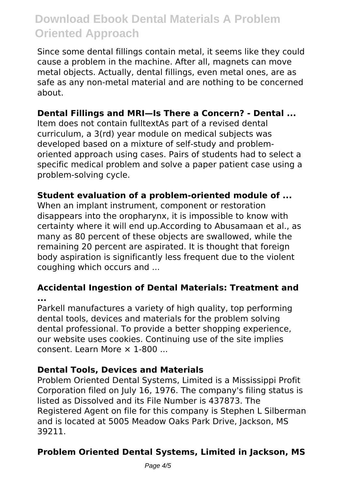Since some dental fillings contain metal, it seems like they could cause a problem in the machine. After all, magnets can move metal objects. Actually, dental fillings, even metal ones, are as safe as any non-metal material and are nothing to be concerned about.

#### **Dental Fillings and MRI—Is There a Concern? - Dental ...**

Item does not contain fulltextAs part of a revised dental curriculum, a 3(rd) year module on medical subjects was developed based on a mixture of self-study and problemoriented approach using cases. Pairs of students had to select a specific medical problem and solve a paper patient case using a problem-solving cycle.

#### **Student evaluation of a problem-oriented module of ...**

When an implant instrument, component or restoration disappears into the oropharynx, it is impossible to know with certainty where it will end up.According to Abusamaan et al., as many as 80 percent of these objects are swallowed, while the remaining 20 percent are aspirated. It is thought that foreign body aspiration is significantly less frequent due to the violent coughing which occurs and ...

#### **Accidental Ingestion of Dental Materials: Treatment and ...**

Parkell manufactures a variety of high quality, top performing dental tools, devices and materials for the problem solving dental professional. To provide a better shopping experience, our website uses cookies. Continuing use of the site implies consent. Learn More × 1-800 ...

#### **Dental Tools, Devices and Materials**

Problem Oriented Dental Systems, Limited is a Mississippi Profit Corporation filed on July 16, 1976. The company's filing status is listed as Dissolved and its File Number is 437873. The Registered Agent on file for this company is Stephen L Silberman and is located at 5005 Meadow Oaks Park Drive, Jackson, MS 39211.

### **Problem Oriented Dental Systems, Limited in Jackson, MS**